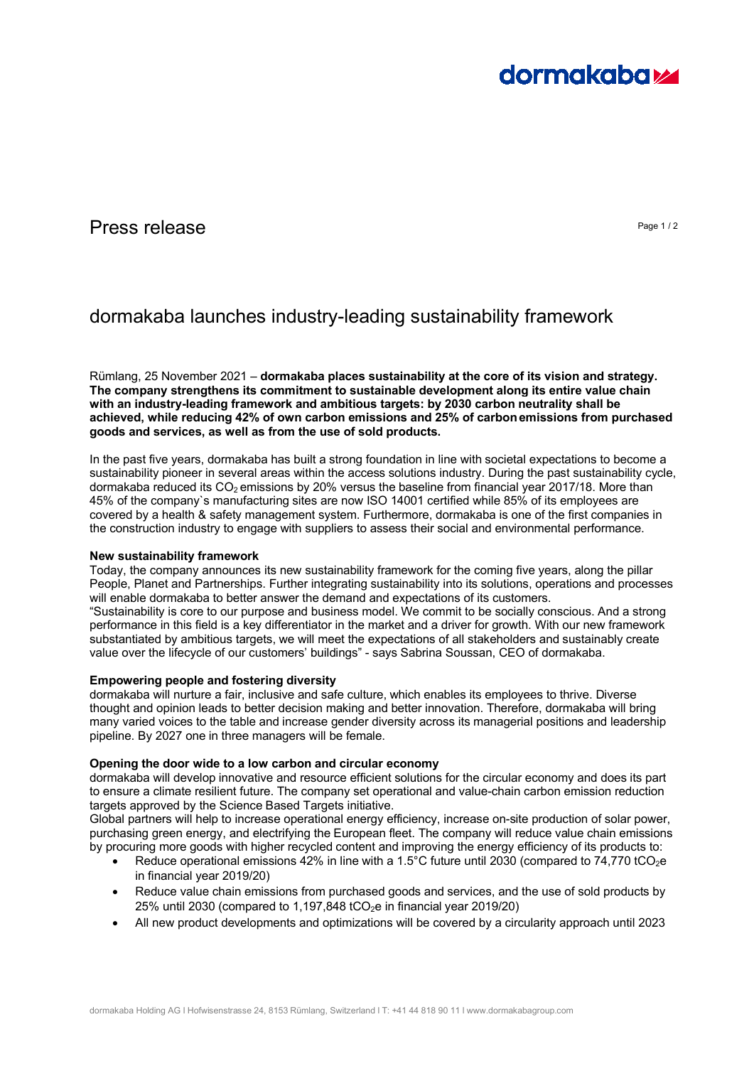

## Press release **Press release** Page 1/2

# dormakaba launches industry-leading sustainability framework

Rümlang, 25 November 2021 – **dormakaba places sustainability at the core of its vision and strategy. The company strengthens its commitment to sustainable development along its entire value chain with an industry-leading framework and ambitious targets: by 2030 carbon neutrality shall be achieved, while reducing 42% of own carbon emissions and 25% of carbonemissions from purchased goods and services, as well as from the use of sold products.** 

In the past five years, dormakaba has built a strong foundation in line with societal expectations to become a sustainability pioneer in several areas within the access solutions industry. During the past sustainability cycle, dormakaba reduced its  $CO<sub>2</sub>$  emissions by 20% versus the baseline from financial year 2017/18. More than 45% of the company`s manufacturing sites are now ISO 14001 certified while 85% of its employees are covered by a health & safety management system. Furthermore, dormakaba is one of the first companies in the construction industry to engage with suppliers to assess their social and environmental performance.

## **New sustainability framework**

Today, the company announces its new sustainability framework for the coming five years, along the pillar People, Planet and Partnerships. Further integrating sustainability into its solutions, operations and processes will enable dormakaba to better answer the demand and expectations of its customers.

"Sustainability is core to our purpose and business model. We commit to be socially conscious. And a strong performance in this field is a key differentiator in the market and a driver for growth. With our new framework substantiated by ambitious targets, we will meet the expectations of all stakeholders and sustainably create value over the lifecycle of our customers' buildings" - says Sabrina Soussan, CEO of dormakaba.

## **Empowering people and fostering diversity**

dormakaba will nurture a fair, inclusive and safe culture, which enables its employees to thrive. Diverse thought and opinion leads to better decision making and better innovation. Therefore, dormakaba will bring many varied voices to the table and increase gender diversity across its managerial positions and leadership pipeline. By 2027 one in three managers will be female.

## **Opening the door wide to a low carbon and circular economy**

dormakaba will develop innovative and resource efficient solutions for the circular economy and does its part to ensure a climate resilient future. The company set operational and value-chain carbon emission reduction targets approved by the Science Based Targets initiative.

Global partners will help to increase operational energy efficiency, increase on-site production of solar power, purchasing green energy, and electrifying the European fleet. The company will reduce value chain emissions by procuring more goods with higher recycled content and improving the energy efficiency of its products to:

- Reduce operational emissions 42% in line with a 1.5°C future until 2030 (compared to 74,770 tCO<sub>2</sub>e in financial year 2019/20)
- Reduce value chain emissions from purchased goods and services, and the use of sold products by 25% until 2030 (compared to 1,197,848 tCO<sub>2</sub>e in financial year 2019/20)
- All new product developments and optimizations will be covered by a circularity approach until 2023